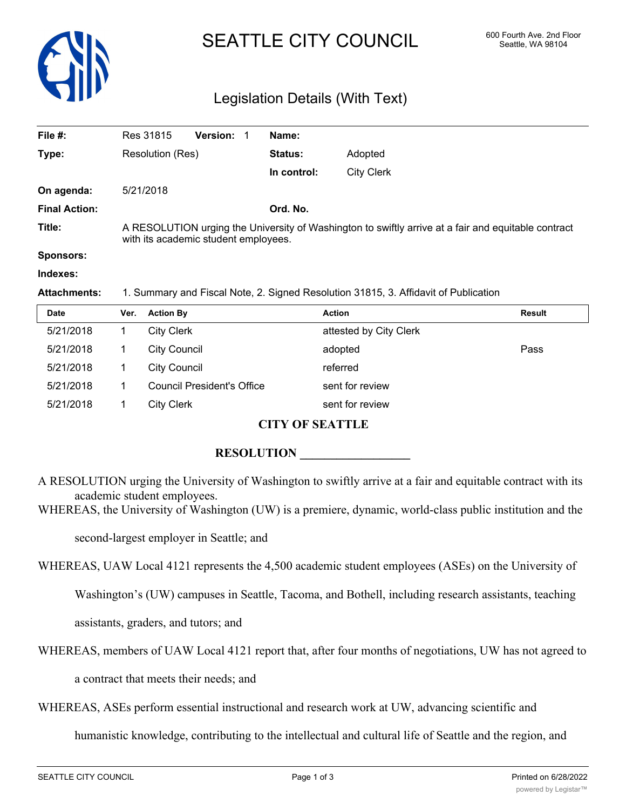

# SEATTLE CITY COUNCIL 600 Fourth Ave. 2nd Floor

## Legislation Details (With Text)

| File #:              | Res 31815                                                                                                                                   | <b>Version: 1</b> |  | Name:          |                   |
|----------------------|---------------------------------------------------------------------------------------------------------------------------------------------|-------------------|--|----------------|-------------------|
| Type:                | Resolution (Res)                                                                                                                            |                   |  | <b>Status:</b> | Adopted           |
|                      |                                                                                                                                             |                   |  | In control:    | <b>City Clerk</b> |
| On agenda:           | 5/21/2018                                                                                                                                   |                   |  |                |                   |
| <b>Final Action:</b> |                                                                                                                                             |                   |  | Ord. No.       |                   |
| Title:               | A RESOLUTION urging the University of Washington to swiftly arrive at a fair and equitable contract<br>with its academic student employees. |                   |  |                |                   |
| <b>Sponsors:</b>     |                                                                                                                                             |                   |  |                |                   |
| Indexes:             |                                                                                                                                             |                   |  |                |                   |

**Attachments:** 1. Summary and Fiscal Note, 2. Signed Resolution 31815, 3. Affidavit of Publication

| <b>Date</b> | Ver. | <b>Action By</b>                  | <b>Action</b>          | Result |
|-------------|------|-----------------------------------|------------------------|--------|
| 5/21/2018   |      | <b>City Clerk</b>                 | attested by City Clerk |        |
| 5/21/2018   |      | <b>City Council</b>               | adopted                | Pass   |
| 5/21/2018   |      | <b>City Council</b>               | referred               |        |
| 5/21/2018   |      | <b>Council President's Office</b> | sent for review        |        |
| 5/21/2018   |      | <b>City Clerk</b>                 | sent for review        |        |

## **CITY OF SEATTLE**

### **RESOLUTION**

A RESOLUTION urging the University of Washington to swiftly arrive at a fair and equitable contract with its academic student employees.

WHEREAS, the University of Washington (UW) is a premiere, dynamic, world-class public institution and the

second-largest employer in Seattle; and

WHEREAS, UAW Local 4121 represents the 4,500 academic student employees (ASEs) on the University of

Washington's (UW) campuses in Seattle, Tacoma, and Bothell, including research assistants, teaching

assistants, graders, and tutors; and

WHEREAS, members of UAW Local 4121 report that, after four months of negotiations, UW has not agreed to

a contract that meets their needs; and

WHEREAS, ASEs perform essential instructional and research work at UW, advancing scientific and

humanistic knowledge, contributing to the intellectual and cultural life of Seattle and the region, and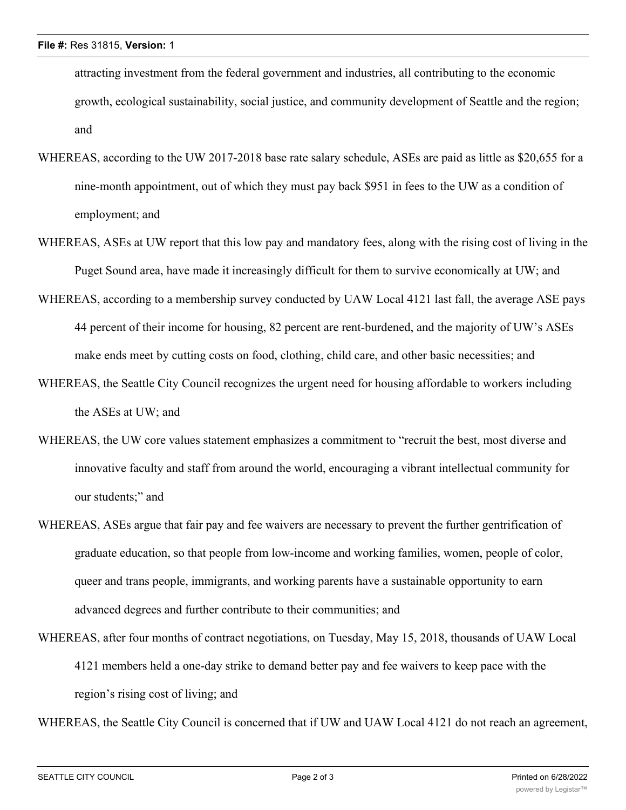attracting investment from the federal government and industries, all contributing to the economic growth, ecological sustainability, social justice, and community development of Seattle and the region; and

- WHEREAS, according to the UW 2017-2018 base rate salary schedule, ASEs are paid as little as \$20,655 for a nine-month appointment, out of which they must pay back \$951 in fees to the UW as a condition of employment; and
- WHEREAS, ASEs at UW report that this low pay and mandatory fees, along with the rising cost of living in the Puget Sound area, have made it increasingly difficult for them to survive economically at UW; and
- WHEREAS, according to a membership survey conducted by UAW Local 4121 last fall, the average ASE pays 44 percent of their income for housing, 82 percent are rent-burdened, and the majority of UW's ASEs make ends meet by cutting costs on food, clothing, child care, and other basic necessities; and
- WHEREAS, the Seattle City Council recognizes the urgent need for housing affordable to workers including the ASEs at UW; and
- WHEREAS, the UW core values statement emphasizes a commitment to "recruit the best, most diverse and innovative faculty and staff from around the world, encouraging a vibrant intellectual community for our students;" and
- WHEREAS, ASEs argue that fair pay and fee waivers are necessary to prevent the further gentrification of graduate education, so that people from low-income and working families, women, people of color, queer and trans people, immigrants, and working parents have a sustainable opportunity to earn advanced degrees and further contribute to their communities; and

WHEREAS, after four months of contract negotiations, on Tuesday, May 15, 2018, thousands of UAW Local 4121 members held a one-day strike to demand better pay and fee waivers to keep pace with the region's rising cost of living; and

WHEREAS, the Seattle City Council is concerned that if UW and UAW Local 4121 do not reach an agreement,